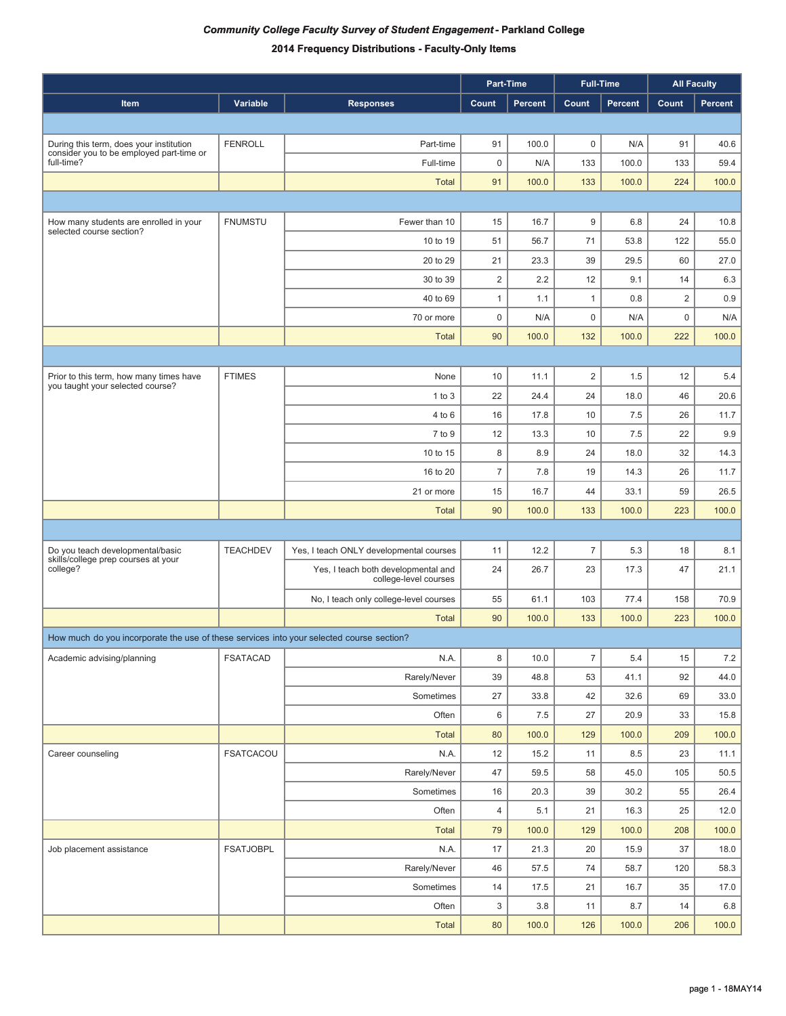|                                                                                          |                  |                                                              | Part-Time      |                |                | <b>Full-Time</b> |                | <b>All Faculty</b> |
|------------------------------------------------------------------------------------------|------------------|--------------------------------------------------------------|----------------|----------------|----------------|------------------|----------------|--------------------|
| Item                                                                                     | Variable         | <b>Responses</b>                                             | Count          | <b>Percent</b> | Count          | <b>Percent</b>   | Count          | Percent            |
|                                                                                          |                  |                                                              |                |                |                |                  |                |                    |
| During this term, does your institution                                                  | <b>FENROLL</b>   | Part-time                                                    | 91             | 100.0          | $\mathbf 0$    | N/A              | 91             | 40.6               |
| consider you to be employed part-time or<br>full-time?                                   |                  | Full-time                                                    | $\pmb{0}$      | N/A            | 133            | 100.0            | 133            | 59.4               |
|                                                                                          |                  | <b>Total</b>                                                 | 91             | 100.0          | 133            | 100.0            | 224            | 100.0              |
|                                                                                          |                  |                                                              |                |                |                |                  |                |                    |
| How many students are enrolled in your                                                   | <b>FNUMSTU</b>   | Fewer than 10                                                | 15             | 16.7           | 9              | 6.8              | 24             | 10.8               |
| selected course section?                                                                 |                  | 10 to 19                                                     | 51             | 56.7           | 71             | 53.8             | 122            | 55.0               |
|                                                                                          |                  | 20 to 29                                                     | 21             | 23.3           | 39             | 29.5             | 60             | 27.0               |
|                                                                                          |                  | 30 to 39                                                     | $\mathbf 2$    | 2.2            | 12             | 9.1              | 14             | 6.3                |
|                                                                                          |                  | 40 to 69                                                     | $\mathbf{1}$   | 1.1            | $\mathbf{1}$   | 0.8              | $\overline{2}$ | 0.9                |
|                                                                                          |                  | 70 or more                                                   | $\mathbf 0$    | N/A            | $\pmb{0}$      | N/A              | $\pmb{0}$      | N/A                |
|                                                                                          |                  | <b>Total</b>                                                 | 90             | 100.0          | 132            | 100.0            | 222            | 100.0              |
|                                                                                          |                  |                                                              |                |                |                |                  |                |                    |
| Prior to this term, how many times have<br>you taught your selected course?              | <b>FTIMES</b>    | None                                                         | 10             | 11.1           | $\overline{2}$ | 1.5              | 12             | 5.4                |
|                                                                                          |                  | $1$ to $3$                                                   | 22             | 24.4           | 24             | 18.0             | 46             | 20.6               |
|                                                                                          |                  | 4 to 6                                                       | 16             | 17.8           | 10             | 7.5              | 26             | 11.7               |
|                                                                                          |                  | 7 to 9                                                       | 12             | 13.3           | 10             | 7.5              | 22             | 9.9                |
|                                                                                          |                  | 10 to 15                                                     | 8              | 8.9            | 24             | 18.0             | 32             | 14.3               |
|                                                                                          |                  | 16 to 20                                                     | $\overline{7}$ | 7.8            | 19             | 14.3             | 26             | 11.7               |
|                                                                                          |                  | 21 or more                                                   | 15             | 16.7           | 44             | 33.1             | 59             | 26.5               |
|                                                                                          |                  | <b>Total</b>                                                 | 90             | 100.0          | 133            | 100.0            | 223            | 100.0              |
|                                                                                          |                  |                                                              |                |                |                |                  |                |                    |
| Do you teach developmental/basic<br>skills/college prep courses at your                  | <b>TEACHDEV</b>  | Yes, I teach ONLY developmental courses                      | 11             | 12.2           | $\overline{7}$ | 5.3              | 18             | 8.1                |
| college?                                                                                 |                  | Yes, I teach both developmental and<br>college-level courses | 24             | 26.7           | 23             | 17.3             | 47             | 21.1               |
|                                                                                          |                  | No, I teach only college-level courses                       | 55             | 61.1           | 103            | 77.4             | 158            | 70.9               |
|                                                                                          |                  | <b>Total</b>                                                 | 90             | 100.0          | 133            | 100.0            | 223            | 100.0              |
| How much do you incorporate the use of these services into your selected course section? |                  |                                                              |                |                |                |                  |                |                    |
| Academic advising/planning                                                               | <b>FSATACAD</b>  | N.A.                                                         | 8              | 10.0           | $\overline{7}$ | $5.4$            | 15             | $7.2\,$            |
|                                                                                          |                  | Rarely/Never                                                 | 39             | 48.8           | 53             | 41.1             | 92             | 44.0               |
|                                                                                          |                  | Sometimes                                                    | 27             | 33.8           | 42             | 32.6             | 69             | 33.0               |
|                                                                                          |                  | Often                                                        | 6              | 7.5            | 27             | 20.9             | 33             | 15.8               |
|                                                                                          |                  | Total                                                        | 80             | 100.0          | 129            | 100.0            | 209            | 100.0              |
| Career counseling                                                                        | <b>FSATCACOU</b> | N.A.                                                         | 12             | 15.2           | 11             | 8.5              | 23             | 11.1               |
|                                                                                          |                  | Rarely/Never                                                 | 47             | 59.5           | 58             | 45.0             | 105            | 50.5               |
|                                                                                          |                  | Sometimes                                                    | 16             | 20.3           | 39             | 30.2             | 55             | 26.4               |
|                                                                                          |                  | Often                                                        | 4              | 5.1            | 21             | 16.3             | 25             | 12.0               |
|                                                                                          |                  | <b>Total</b>                                                 | 79             | 100.0          | 129            | 100.0            | 208            | 100.0              |
| Job placement assistance                                                                 | <b>FSATJOBPL</b> | N.A.                                                         | 17             | 21.3           | 20             | 15.9             | 37             | 18.0               |
|                                                                                          |                  | Rarely/Never                                                 | 46             | 57.5           | 74             | 58.7             | 120            | 58.3               |
|                                                                                          |                  | Sometimes                                                    | 14             | 17.5           | 21             | 16.7             | 35             | 17.0               |
|                                                                                          |                  | Often                                                        | 3              | 3.8            | 11             | 8.7              | 14             | 6.8                |
|                                                                                          |                  | Total                                                        | 80             | 100.0          | 126            | 100.0            | 206            | 100.0              |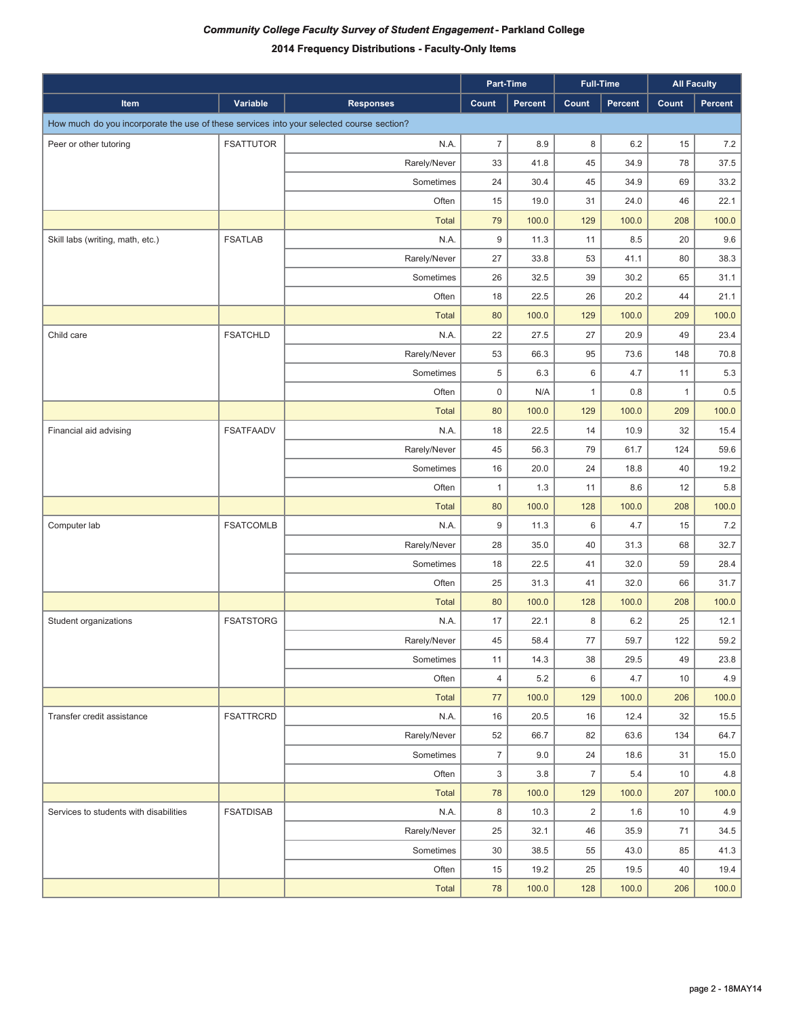|                                                                                          |                  |                  |                  | Part-Time |                | <b>Full-Time</b> |       | <b>All Faculty</b> |
|------------------------------------------------------------------------------------------|------------------|------------------|------------------|-----------|----------------|------------------|-------|--------------------|
| Item                                                                                     | Variable         | <b>Responses</b> | Count            | Percent   | Count          | Percent          | Count | Percent            |
| How much do you incorporate the use of these services into your selected course section? |                  |                  |                  |           |                |                  |       |                    |
| Peer or other tutoring                                                                   | <b>FSATTUTOR</b> | N.A.             | $\overline{7}$   | 8.9       | 8              | 6.2              | 15    | 7.2                |
|                                                                                          |                  | Rarely/Never     | 33               | 41.8      | 45             | 34.9             | 78    | 37.5               |
|                                                                                          |                  | Sometimes        | 24               | 30.4      | 45             | 34.9             | 69    | 33.2               |
|                                                                                          |                  | Often            | 15               | 19.0      | 31             | 24.0             | 46    | 22.1               |
|                                                                                          |                  | <b>Total</b>     | 79               | 100.0     | 129            | 100.0            | 208   | 100.0              |
| Skill labs (writing, math, etc.)                                                         | <b>FSATLAB</b>   | N.A.             | 9                | 11.3      | 11             | 8.5              | 20    | 9.6                |
|                                                                                          |                  | Rarely/Never     | 27               | 33.8      | 53             | 41.1             | 80    | 38.3               |
|                                                                                          |                  | Sometimes        | 26               | 32.5      | 39             | 30.2             | 65    | 31.1               |
|                                                                                          |                  | Often            | 18               | 22.5      | 26             | 20.2             | 44    | 21.1               |
|                                                                                          |                  | <b>Total</b>     | 80               | 100.0     | 129            | 100.0            | 209   | 100.0              |
| Child care                                                                               | <b>FSATCHLD</b>  | N.A.             | 22               | 27.5      | 27             | 20.9             | 49    | 23.4               |
|                                                                                          |                  | Rarely/Never     | 53               | 66.3      | 95             | 73.6             | 148   | 70.8               |
|                                                                                          |                  | Sometimes        | $\,$ 5 $\,$      | 6.3       | 6              | 4.7              | 11    | 5.3                |
|                                                                                          |                  | Often            | $\mathsf 0$      | N/A       | $\mathbf{1}$   | 0.8              | 1     | 0.5                |
|                                                                                          |                  | <b>Total</b>     | 80               | 100.0     | 129            | 100.0            | 209   | 100.0              |
| Financial aid advising                                                                   | <b>FSATFAADV</b> | N.A.             | 18               | 22.5      | 14             | 10.9             | 32    | 15.4               |
|                                                                                          |                  | Rarely/Never     | 45               | 56.3      | 79             | 61.7             | 124   | 59.6               |
|                                                                                          |                  | Sometimes        | 16               | 20.0      | 24             | 18.8             | 40    | 19.2               |
|                                                                                          |                  | Often            | $\mathbf{1}$     | 1.3       | 11             | 8.6              | 12    | 5.8                |
|                                                                                          |                  | <b>Total</b>     | 80               | 100.0     | 128            | 100.0            | 208   | 100.0              |
| Computer lab                                                                             | <b>FSATCOMLB</b> | N.A.             | 9                | 11.3      | 6              | 4.7              | 15    | 7.2                |
|                                                                                          |                  | Rarely/Never     | 28               | 35.0      | 40             | 31.3             | 68    | 32.7               |
|                                                                                          |                  | Sometimes        | 18               | 22.5      | 41             | 32.0             | 59    | 28.4               |
|                                                                                          |                  | Often            | 25               | 31.3      | 41             | 32.0             | 66    | 31.7               |
|                                                                                          |                  | <b>Total</b>     | 80               | 100.0     | 128            | 100.0            | 208   | 100.0              |
| Student organizations                                                                    | <b>FSATSTORG</b> | N.A.             | 17               | 22.1      | 8              | 6.2              | 25    | 12.1               |
|                                                                                          |                  | Rarely/Never     | 45               | 58.4      | 77             | 59.7             | 122   | 59.2               |
|                                                                                          |                  | Sometimes        | 11               | 14.3      | 38             | 29.5             | 49    | 23.8               |
|                                                                                          |                  | Often            | $\overline{4}$   | 5.2       | 6              | 4.7              | 10    | 4.9                |
|                                                                                          |                  | <b>Total</b>     | 77               | 100.0     | 129            | 100.0            | 206   | 100.0              |
| Transfer credit assistance                                                               | <b>FSATTRCRD</b> | N.A.             | 16               | 20.5      | 16             | 12.4             | 32    | 15.5               |
|                                                                                          |                  | Rarely/Never     | 52               | 66.7      | 82             | 63.6             | 134   | 64.7               |
|                                                                                          |                  | Sometimes        | $\boldsymbol{7}$ | 9.0       | 24             | 18.6             | 31    | 15.0               |
|                                                                                          |                  | Often            | 3                | 3.8       | $\overline{7}$ | 5.4              | 10    | 4.8                |
|                                                                                          |                  | <b>Total</b>     | 78               | 100.0     | 129            | 100.0            | 207   | 100.0              |
| Services to students with disabilities                                                   | <b>FSATDISAB</b> | N.A.             | 8                | 10.3      | $\overline{2}$ | 1.6              | 10    | 4.9                |
|                                                                                          |                  | Rarely/Never     | 25               | 32.1      | 46             | 35.9             | 71    | 34.5               |
|                                                                                          |                  | Sometimes        | 30               | 38.5      | 55             | 43.0             | 85    | 41.3               |
|                                                                                          |                  | Often            | 15               | 19.2      | 25             | 19.5             | 40    | 19.4               |
|                                                                                          |                  | Total            | 78               | 100.0     | 128            | 100.0            | 206   | 100.0              |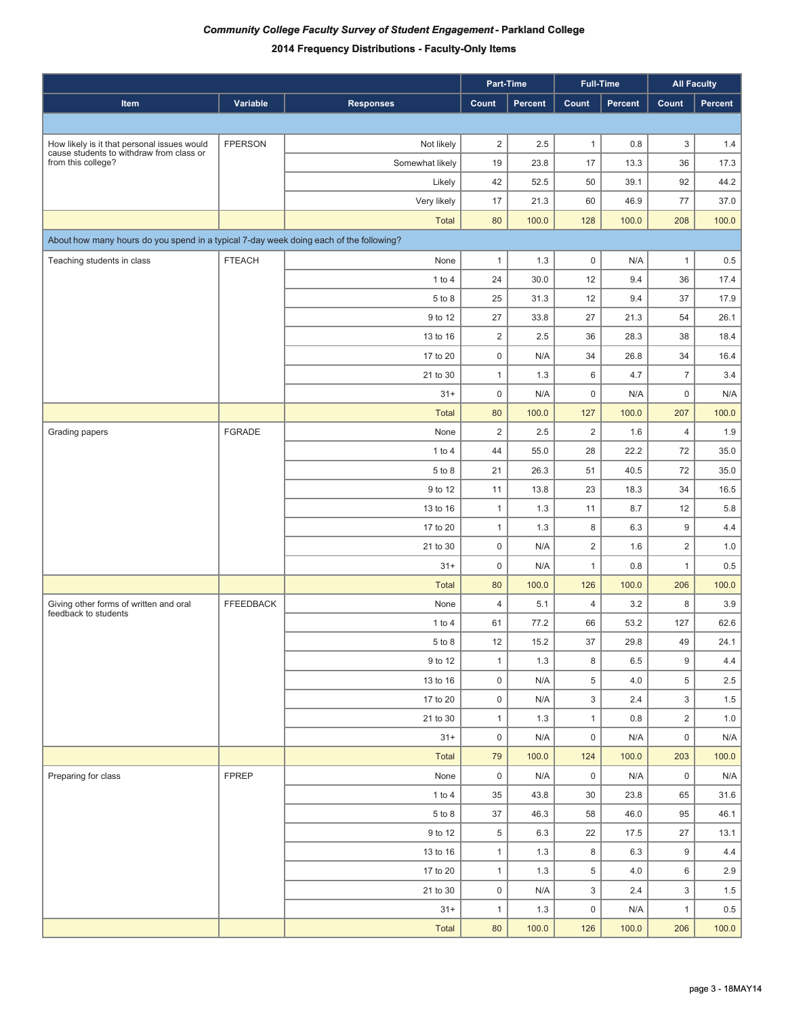|                                                                                        |                  |                  |                | Part-Time      |                | <b>Full-Time</b> | <b>All Faculty</b> |         |
|----------------------------------------------------------------------------------------|------------------|------------------|----------------|----------------|----------------|------------------|--------------------|---------|
| Item                                                                                   | Variable         | <b>Responses</b> | Count          | <b>Percent</b> | Count          | Percent          | Count              | Percent |
|                                                                                        |                  |                  |                |                |                |                  |                    |         |
| How likely is it that personal issues would                                            | <b>FPERSON</b>   | Not likely       | $\overline{2}$ | 2.5            | 1              | 0.8              | 3                  | 1.4     |
| cause students to withdraw from class or<br>from this college?                         |                  | Somewhat likely  | 19             | 23.8           | 17             | 13.3             | 36                 | 17.3    |
|                                                                                        |                  | Likely           | 42             | 52.5           | 50             | 39.1             | 92                 | 44.2    |
|                                                                                        |                  | Very likely      | 17             | 21.3           | 60             | 46.9             | 77                 | 37.0    |
|                                                                                        |                  | <b>Total</b>     | 80             | 100.0          | 128            | 100.0            | 208                | 100.0   |
| About how many hours do you spend in a typical 7-day week doing each of the following? |                  |                  |                |                |                |                  |                    |         |
| Teaching students in class                                                             | <b>FTEACH</b>    | None             | 1              | 1.3            | $\mathsf 0$    | N/A              | $\mathbf{1}$       | 0.5     |
|                                                                                        |                  | 1 to $4$         | 24             | 30.0           | 12             | 9.4              | 36                 | 17.4    |
|                                                                                        |                  | 5 to 8           | 25             | 31.3           | 12             | 9.4              | 37                 | 17.9    |
|                                                                                        |                  | 9 to 12          | 27             | 33.8           | 27             | 21.3             | 54                 | 26.1    |
|                                                                                        |                  | 13 to 16         | $\overline{2}$ | 2.5            | 36             | 28.3             | 38                 | 18.4    |
|                                                                                        |                  | 17 to 20         | $\mathsf 0$    | N/A            | 34             | 26.8             | 34                 | 16.4    |
|                                                                                        |                  | 21 to 30         | 1              | 1.3            | 6              | 4.7              | $\overline{7}$     | 3.4     |
|                                                                                        |                  | $31 +$           | $\mathbf 0$    | N/A            | $\mathsf 0$    | N/A              | $\mathbf 0$        | N/A     |
|                                                                                        |                  | <b>Total</b>     | 80             | 100.0          | 127            | 100.0            | 207                | 100.0   |
| Grading papers                                                                         | <b>FGRADE</b>    | None             | $\overline{2}$ | 2.5            | 2              | 1.6              | $\overline{4}$     | 1.9     |
|                                                                                        |                  | 1 to $4$         | 44             | 55.0           | 28             | 22.2             | 72                 | 35.0    |
|                                                                                        |                  | 5 to 8           | 21             | 26.3           | 51             | 40.5             | 72                 | 35.0    |
|                                                                                        |                  | 9 to 12          | 11             | 13.8           | 23             | 18.3             | 34                 | 16.5    |
|                                                                                        |                  | 13 to 16         | $\mathbf{1}$   | 1.3            | 11             | 8.7              | 12                 | 5.8     |
|                                                                                        |                  | 17 to 20         | 1              | 1.3            | 8              | 6.3              | 9                  | 4.4     |
|                                                                                        |                  | 21 to 30         | $\mathsf 0$    | N/A            | $\overline{2}$ | 1.6              | 2                  | 1.0     |
|                                                                                        |                  | $31 +$           | 0              | N/A            | 1              | 0.8              | $\mathbf{1}$       | 0.5     |
|                                                                                        |                  | <b>Total</b>     | 80             | 100.0          | 126            | 100.0            | 206                | 100.0   |
| Giving other forms of written and oral                                                 | <b>FFEEDBACK</b> | None             | 4              | 5.1            | $\overline{4}$ | 3.2              | 8                  | 3.9     |
| feedback to students                                                                   |                  | $1$ to $4$       | 61             | 77.2           | 66             | 53.2             | 127                | 62.6    |
|                                                                                        |                  | 5 to 8           | 12             | 15.2           | 37             | 29.8             | 49                 | 24.1    |
|                                                                                        |                  | 9 to 12          | $\mathbf{1}$   | 1.3            | 8              | 6.5              | 9                  | 4.4     |
|                                                                                        |                  | 13 to 16         | 0              | N/A            | 5              | 4.0              | 5                  | 2.5     |
|                                                                                        |                  | 17 to 20         | 0              | N/A            | 3              | 2.4              | 3                  | 1.5     |
|                                                                                        |                  | 21 to 30         | $\mathbf{1}$   | 1.3            | $\mathbf{1}$   | 0.8              | $\overline{2}$     | 1.0     |
|                                                                                        |                  | $31+$            | 0              | N/A            | $\mathsf{O}$   | N/A              | $\mathbf 0$        | N/A     |
|                                                                                        |                  | Total            | 79             | 100.0          | 124            | 100.0            | 203                | 100.0   |
| Preparing for class                                                                    | <b>FPREP</b>     | None             | $\mathbf 0$    | N/A            | $\mathbf 0$    | N/A              | $\mathbf 0$        | N/A     |
|                                                                                        |                  | 1 to 4           | 35             | 43.8           | 30             | 23.8             | 65                 | 31.6    |
|                                                                                        |                  | $5\ {\rm to}\ 8$ | $37\,$         | 46.3           | 58             | 46.0             | 95                 | 46.1    |
|                                                                                        |                  | 9 to 12          | 5              | 6.3            | 22             | 17.5             | 27                 | 13.1    |
|                                                                                        |                  | 13 to 16         | $\mathbf{1}$   | 1.3            | 8              | 6.3              | 9                  | 4.4     |
|                                                                                        |                  | 17 to 20         | $\mathbf{1}$   | 1.3            | 5              | 4.0              | 6                  | 2.9     |
|                                                                                        |                  | 21 to 30         | 0              | N/A            | 3              | 2.4              | 3                  | 1.5     |
|                                                                                        |                  | $31+$            | $\mathbf{1}$   | 1.3            | 0              | N/A              | $\mathbf{1}$       | 0.5     |
|                                                                                        |                  | Total            | 80             | 100.0          | 126            | 100.0            | 206                | 100.0   |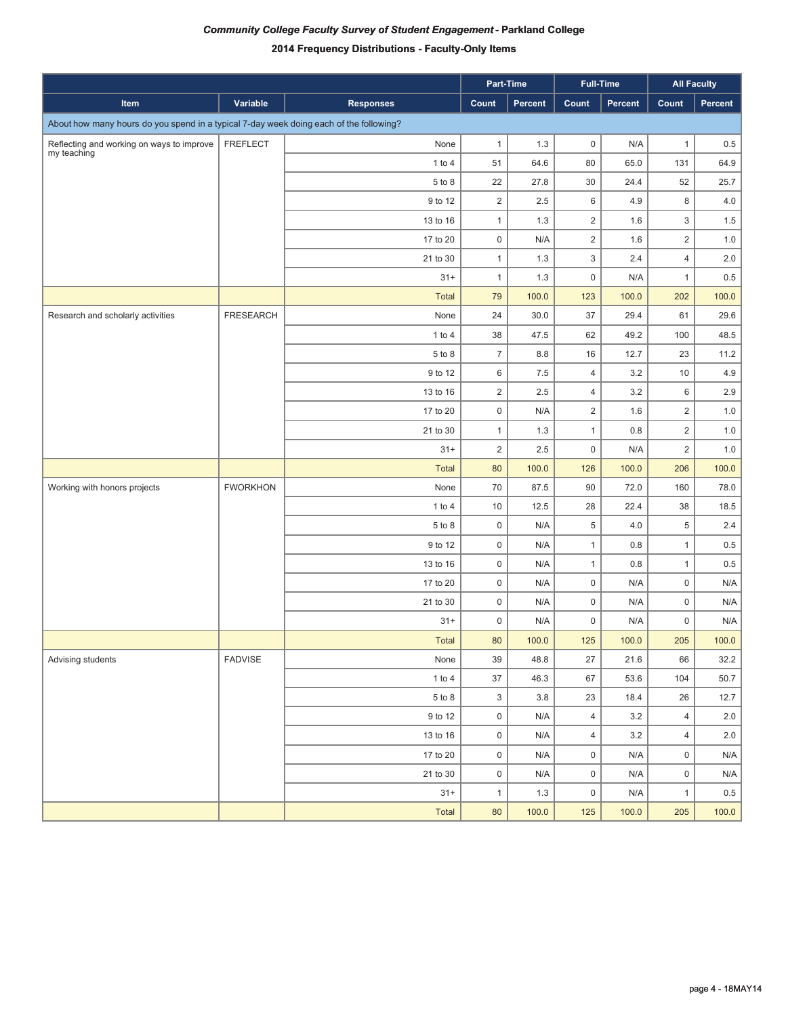|                                                                                        |                  |                  |                     | Part-Time      |                | <b>Full-Time</b> |                | <b>All Faculty</b> |
|----------------------------------------------------------------------------------------|------------------|------------------|---------------------|----------------|----------------|------------------|----------------|--------------------|
| Item                                                                                   | Variable         | <b>Responses</b> | Count               | <b>Percent</b> | Count          | Percent          | Count          | Percent            |
| About how many hours do you spend in a typical 7-day week doing each of the following? |                  |                  |                     |                |                |                  |                |                    |
| Reflecting and working on ways to improve                                              | <b>FREFLECT</b>  | None             | $\mathbf{1}$        | 1.3            | $\mathsf 0$    | N/A              | $\mathbf{1}$   | 0.5                |
| my teaching                                                                            |                  | 1 to 4           | 51                  | 64.6           | 80             | 65.0             | 131            | 64.9               |
|                                                                                        |                  | 5 to 8           | 22                  | 27.8           | 30             | 24.4             | 52             | 25.7               |
|                                                                                        |                  | 9 to 12          | $\overline{2}$      | 2.5            | 6              | 4.9              | 8              | 4.0                |
|                                                                                        |                  | 13 to 16         | $\mathbf{1}$        | 1.3            | $\overline{2}$ | 1.6              | 3              | 1.5                |
|                                                                                        |                  | 17 to 20         | $\mathsf 0$         | N/A            | $\overline{2}$ | 1.6              | 2              | 1.0                |
|                                                                                        |                  | 21 to 30         | $\mathbf{1}$        | 1.3            | 3              | 2.4              | $\overline{4}$ | 2.0                |
|                                                                                        |                  | $31+$            | $\mathbf{1}$        | 1.3            | $\mathbf 0$    | N/A              | $\mathbf{1}$   | 0.5                |
|                                                                                        |                  | <b>Total</b>     | 79                  | 100.0          | 123            | 100.0            | 202            | 100.0              |
| Research and scholarly activities                                                      | <b>FRESEARCH</b> | None             | 24                  | 30.0           | 37             | 29.4             | 61             | 29.6               |
|                                                                                        |                  | $1$ to $4$       | 38                  | 47.5           | 62             | 49.2             | 100            | 48.5               |
|                                                                                        |                  | 5 to 8           | $\overline{7}$      | 8.8            | 16             | 12.7             | 23             | 11.2               |
|                                                                                        |                  | 9 to 12          | 6                   | 7.5            | $\overline{4}$ | 3.2              | $10$           | 4.9                |
|                                                                                        |                  | 13 to 16         | $\overline{2}$      | $2.5\,$        | $\overline{4}$ | 3.2              | 6              | 2.9                |
|                                                                                        |                  | 17 to 20         | $\mathsf 0$         | N/A            | $\overline{2}$ | 1.6              | $\overline{2}$ | 1.0                |
|                                                                                        |                  | 21 to 30         | $\mathbf{1}$        | 1.3            | $\mathbf{1}$   | 0.8              | $\overline{2}$ | 1.0                |
|                                                                                        |                  | $31+$            | $\overline{2}$      | 2.5            | $\mathsf 0$    | N/A              | $\overline{2}$ | 1.0                |
|                                                                                        |                  | Total            | 80                  | 100.0          | 126            | 100.0            | 206            | 100.0              |
| Working with honors projects                                                           | <b>FWORKHON</b>  | None             | 70                  | 87.5           | 90             | 72.0             | 160            | 78.0               |
|                                                                                        |                  | $1$ to $4$       | 10                  | 12.5           | 28             | 22.4             | 38             | 18.5               |
|                                                                                        |                  | 5 to 8           | $\mathbf 0$         | N/A            | 5              | 4.0              | $\overline{5}$ | 2.4                |
|                                                                                        |                  | 9 to 12          | $\mathsf 0$         | N/A            | $\mathbf{1}$   | 0.8              | $\mathbf{1}$   | 0.5                |
|                                                                                        |                  | 13 to 16         | $\mathsf 0$         | N/A            | $\mathbf{1}$   | 0.8              | $\mathbf{1}$   | 0.5                |
|                                                                                        |                  | 17 to 20         | $\mathsf 0$         | N/A            | $\mathsf 0$    | N/A              | $\mathsf 0$    | N/A                |
|                                                                                        |                  | 21 to 30         | $\mathsf 0$         | N/A            | $\mathsf 0$    | N/A              | $\mathsf 0$    | N/A                |
|                                                                                        |                  | $31+$            | 0                   | N/A            | $\mathsf 0$    | N/A              | $\mathbf 0$    | N/A                |
|                                                                                        |                  | Total            | 80                  | 100.0          | 125            | 100.0            | 205            | 100.0              |
| Advising students                                                                      | FADVISE          | None             | 39                  | 48.8           | 27             | 21.6             | 66             | 32.2               |
|                                                                                        |                  | $1$ to $4$       | 37                  | 46.3           | 67             | 53.6             | 104            | 50.7               |
|                                                                                        |                  | 5 to 8           | 3                   | 3.8            | 23             | 18.4             | 26             | 12.7               |
|                                                                                        |                  | 9 to 12          | $\mathsf 0$         | N/A            | $\overline{4}$ | 3.2              | $\overline{4}$ | 2.0                |
|                                                                                        |                  | 13 to 16         | $\mathsf 0$         | N/A            | $\overline{4}$ | 3.2              | $\overline{4}$ | 2.0                |
|                                                                                        |                  | 17 to 20         | $\mathsf{O}\xspace$ | N/A            | $\mathsf 0$    | N/A              | $\mathsf 0$    | N/A                |
|                                                                                        |                  | 21 to 30         | $\mathsf{O}\xspace$ | N/A            | $\mathsf 0$    | N/A              | $\mathsf 0$    | N/A                |
|                                                                                        |                  | $31+$            | $\mathbf{1}$        | 1.3            | $\mathsf 0$    | N/A              | $\mathbf{1}$   | 0.5                |
|                                                                                        |                  | Total            | 80                  | 100.0          | 125            | 100.0            | 205            | 100.0              |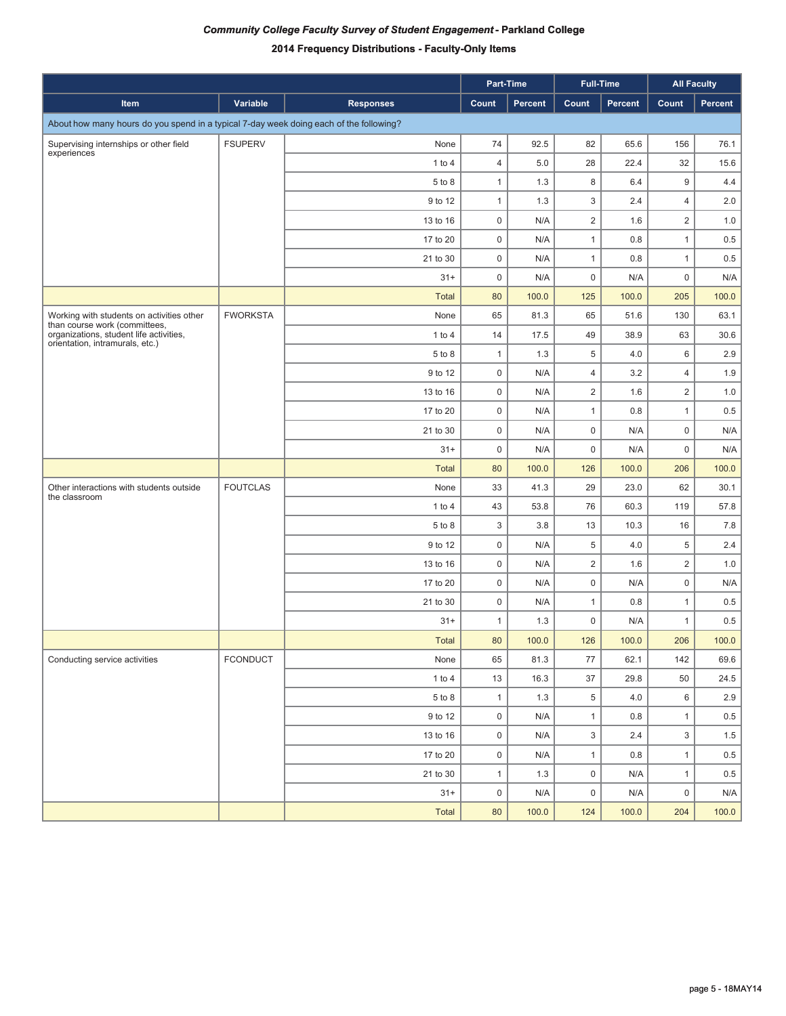|                                                                                        |                 |                  |                     | Part-Time |                     | <b>Full-Time</b> | <b>All Faculty</b> |         |
|----------------------------------------------------------------------------------------|-----------------|------------------|---------------------|-----------|---------------------|------------------|--------------------|---------|
| Item                                                                                   | Variable        | <b>Responses</b> | Count               | Percent   | Count               | <b>Percent</b>   | Count              | Percent |
| About how many hours do you spend in a typical 7-day week doing each of the following? |                 |                  |                     |           |                     |                  |                    |         |
| Supervising internships or other field                                                 | <b>FSUPERV</b>  | None             | 74                  | 92.5      | 82                  | 65.6             | 156                | 76.1    |
| experiences                                                                            |                 | 1 to 4           | $\overline{4}$      | 5.0       | 28                  | 22.4             | 32                 | 15.6    |
|                                                                                        |                 | 5 to 8           | $\mathbf{1}$        | 1.3       | 8                   | 6.4              | 9                  | 4.4     |
|                                                                                        |                 | 9 to 12          | $\mathbf{1}$        | 1.3       | 3                   | 2.4              | $\overline{4}$     | 2.0     |
|                                                                                        |                 | 13 to 16         | $\mathsf 0$         | N/A       | $\overline{2}$      | 1.6              | 2                  | 1.0     |
|                                                                                        |                 | 17 to 20         | $\mathsf 0$         | N/A       | $\mathbf{1}$        | 0.8              | $\mathbf{1}$       | 0.5     |
|                                                                                        |                 | 21 to 30         | $\mathsf 0$         | N/A       | $\mathbf{1}$        | 0.8              | $\mathbf{1}$       | 0.5     |
|                                                                                        |                 | $31+$            | $\mathsf 0$         | N/A       | $\mathsf 0$         | N/A              | $\mathsf 0$        | N/A     |
|                                                                                        |                 | <b>Total</b>     | 80                  | 100.0     | 125                 | 100.0            | 205                | 100.0   |
| Working with students on activities other<br>than course work (committees,             | <b>FWORKSTA</b> | None             | 65                  | 81.3      | 65                  | 51.6             | 130                | 63.1    |
| organizations, student life activities,<br>orientation, intramurals, etc.)             |                 | $1$ to $4$       | 14                  | 17.5      | 49                  | 38.9             | 63                 | 30.6    |
|                                                                                        |                 | 5 to 8           | $\mathbf{1}$        | 1.3       | $\,$ 5 $\,$         | 4.0              | 6                  | 2.9     |
|                                                                                        |                 | 9 to 12          | $\mathsf 0$         | N/A       | $\overline{4}$      | 3.2              | $\overline{4}$     | 1.9     |
|                                                                                        |                 | 13 to 16         | $\mathsf 0$         | N/A       | $\overline{2}$      | 1.6              | 2                  | 1.0     |
|                                                                                        |                 | 17 to 20         | $\mathsf 0$         | N/A       | $\mathbf{1}$        | 0.8              | $\mathbf{1}$       | 0.5     |
|                                                                                        |                 | 21 to 30         | $\mathsf 0$         | N/A       | $\mathsf 0$         | N/A              | $\mathsf 0$        | N/A     |
|                                                                                        |                 | $31+$            | $\mathsf 0$         | N/A       | $\mathsf 0$         | N/A              | $\mathsf 0$        | N/A     |
|                                                                                        |                 | <b>Total</b>     | 80                  | 100.0     | 126                 | 100.0            | 206                | 100.0   |
| Other interactions with students outside<br>the classroom                              | <b>FOUTCLAS</b> | None             | 33                  | 41.3      | 29                  | 23.0             | 62                 | 30.1    |
|                                                                                        |                 | $1$ to $4$       | 43                  | 53.8      | 76                  | 60.3             | 119                | 57.8    |
|                                                                                        |                 | 5 to 8           | 3                   | 3.8       | 13                  | 10.3             | 16                 | 7.8     |
|                                                                                        |                 | 9 to 12          | $\mathbf 0$         | N/A       | 5                   | 4.0              | $\overline{5}$     | 2.4     |
|                                                                                        |                 | 13 to 16         | $\mathbf 0$         | N/A       | $\overline{2}$      | 1.6              | $\overline{2}$     | 1.0     |
|                                                                                        |                 | 17 to 20         | $\mathsf 0$         | N/A       | $\mathsf 0$         | N/A              | $\mathsf 0$        | N/A     |
|                                                                                        |                 | 21 to 30         | $\mathbf 0$         | N/A       | $\mathbf{1}$        | 0.8              | $\mathbf{1}$       | 0.5     |
|                                                                                        |                 | $31+$            | $\mathbf{1}$        | 1.3       | $\mathbf 0$         | N/A              | $\mathbf{1}$       | 0.5     |
|                                                                                        |                 | <b>Total</b>     | 80                  | 100.0     | 126                 | 100.0            | 206                | 100.0   |
| Conducting service activities                                                          | FCONDUCT        | None             | 65                  | 81.3      | 77                  | 62.1             | 142                | 69.6    |
|                                                                                        |                 | 1 to 4           | 13                  | 16.3      | $37\,$              | 29.8             | 50                 | 24.5    |
|                                                                                        |                 | 5 to 8           | $\mathbf{1}$        | 1.3       | $\,$ 5 $\,$         | 4.0              | 6                  | 2.9     |
|                                                                                        |                 | 9 to 12          | $\mathsf{O}\xspace$ | N/A       | $\mathbf{1}$        | 0.8              | $\mathbf{1}$       | 0.5     |
|                                                                                        |                 | 13 to 16         | $\mathsf 0$         | N/A       | 3                   | 2.4              | 3                  | 1.5     |
|                                                                                        |                 | 17 to 20         | $\mathsf{O}\xspace$ | N/A       | $\mathbf{1}$        | 0.8              | $\mathbf{1}$       | $0.5\,$ |
|                                                                                        |                 | 21 to 30         | $\mathbf{1}$        | 1.3       | $\mathsf{O}\xspace$ | N/A              | $\mathbf{1}$       | 0.5     |
|                                                                                        |                 | $31+$            | $\mathsf{O}\xspace$ | N/A       | $\mathsf{O}\xspace$ | N/A              | $\mathsf 0$        | N/A     |
|                                                                                        |                 | Total            | $80\,$              | 100.0     | 124                 | 100.0            | 204                | 100.0   |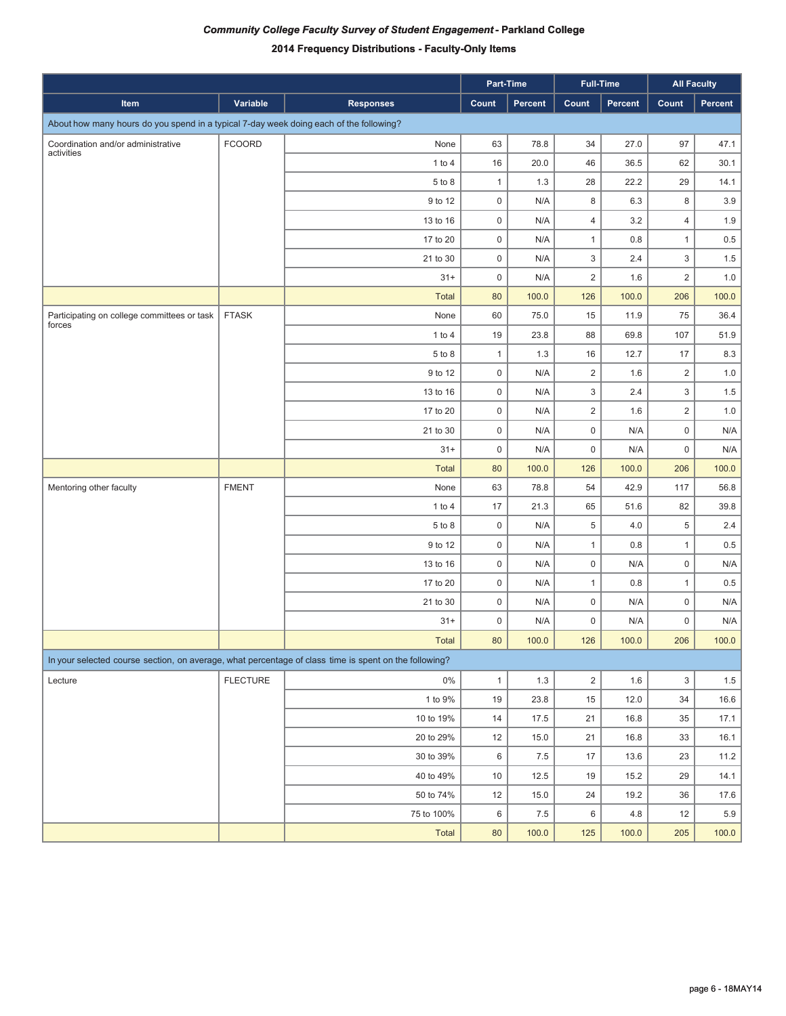|                                                                                                       |                 |                  |                     | Part-Time | <b>Full-Time</b>        |         |                           | <b>All Faculty</b> |
|-------------------------------------------------------------------------------------------------------|-----------------|------------------|---------------------|-----------|-------------------------|---------|---------------------------|--------------------|
| Item                                                                                                  | Variable        | <b>Responses</b> | Count               | Percent   | Count                   | Percent | Count                     | Percent            |
| About how many hours do you spend in a typical 7-day week doing each of the following?                |                 |                  |                     |           |                         |         |                           |                    |
| Coordination and/or administrative                                                                    | <b>FCOORD</b>   | None             | 63                  | 78.8      | 34                      | 27.0    | 97                        | 47.1               |
| activities                                                                                            |                 | 1 to 4           | 16                  | 20.0      | 46                      | 36.5    | 62                        | 30.1               |
|                                                                                                       |                 | 5 to 8           | $\mathbf{1}$        | 1.3       | 28                      | 22.2    | 29                        | 14.1               |
|                                                                                                       |                 | 9 to 12          | $\mathsf 0$         | N/A       | 8                       | 6.3     | 8                         | 3.9                |
|                                                                                                       |                 | 13 to 16         | 0                   | N/A       | 4                       | 3.2     | 4                         | 1.9                |
|                                                                                                       |                 | 17 to 20         | $\mathsf 0$         | N/A       | 1                       | 0.8     | $\mathbf{1}$              | 0.5                |
|                                                                                                       |                 | 21 to 30         | $\mathsf{O}\xspace$ | N/A       | 3                       | 2.4     | 3                         | 1.5                |
|                                                                                                       |                 | $31 +$           | $\mathsf 0$         | N/A       | $\overline{c}$          | 1.6     | $\overline{2}$            | 1.0                |
|                                                                                                       |                 | <b>Total</b>     | 80                  | 100.0     | 126                     | 100.0   | 206                       | 100.0              |
| Participating on college committees or task<br>forces                                                 | <b>FTASK</b>    | None             | 60                  | 75.0      | 15                      | 11.9    | 75                        | 36.4               |
|                                                                                                       |                 | 1 to 4           | 19                  | 23.8      | 88                      | 69.8    | 107                       | 51.9               |
|                                                                                                       |                 | 5 to 8           | $\mathbf{1}$        | 1.3       | 16                      | 12.7    | 17                        | 8.3                |
|                                                                                                       |                 | 9 to 12          | $\mathsf{O}\xspace$ | N/A       | $\overline{c}$          | 1.6     | $\overline{2}$            | 1.0                |
|                                                                                                       |                 | 13 to 16         | $\mathsf 0$         | N/A       | 3                       | 2.4     | 3                         | 1.5                |
|                                                                                                       |                 | 17 to 20         | $\mathsf 0$         | N/A       | $\overline{\mathbf{c}}$ | 1.6     | $\overline{2}$            | 1.0                |
|                                                                                                       |                 | 21 to 30         | $\mathsf 0$         | N/A       | $\mathsf{O}\xspace$     | N/A     | $\mathsf 0$               | N/A                |
|                                                                                                       |                 | $31 +$           | $\mathsf 0$         | N/A       | $\mathsf{O}\xspace$     | N/A     | $\mathsf 0$               | N/A                |
|                                                                                                       |                 | <b>Total</b>     | 80                  | 100.0     | 126                     | 100.0   | 206                       | 100.0              |
| Mentoring other faculty                                                                               | <b>FMENT</b>    | None             | 63                  | 78.8      | 54                      | 42.9    | 117                       | 56.8               |
|                                                                                                       |                 | 1 to $4$         | 17                  | 21.3      | 65                      | 51.6    | 82                        | 39.8               |
|                                                                                                       |                 | 5 to 8           | $\mathsf 0$         | N/A       | 5                       | 4.0     | 5                         | 2.4                |
|                                                                                                       |                 | 9 to 12          | 0                   | N/A       | 1                       | 0.8     | $\mathbf{1}$              | 0.5                |
|                                                                                                       |                 | 13 to 16         | $\mathsf{O}\xspace$ | N/A       | 0                       | N/A     | $\mathsf 0$               | N/A                |
|                                                                                                       |                 | 17 to 20         | $\mathsf{O}\xspace$ | N/A       | 1                       | 0.8     | $\mathbf{1}$              | 0.5                |
|                                                                                                       |                 | 21 to 30         | $\mathsf 0$         | N/A       | 0                       | N/A     | $\mathsf 0$               | N/A                |
|                                                                                                       |                 | $31 +$           | $\mathbf 0$         | N/A       | 0                       | N/A     | 0                         | N/A                |
|                                                                                                       |                 | <b>Total</b>     | 80                  | 100.0     | 126                     | 100.0   | 206                       | 100.0              |
| In your selected course section, on average, what percentage of class time is spent on the following? |                 |                  |                     |           |                         |         |                           |                    |
| Lecture                                                                                               | <b>FLECTURE</b> | $0\%$            | $\mathbf{1}$        | $1.3$     | $\overline{\mathbf{c}}$ | $1.6\,$ | $\ensuremath{\mathsf{3}}$ | $1.5\,$            |
|                                                                                                       |                 | 1 to 9%          | 19                  | 23.8      | $15\,$                  | 12.0    | 34                        | 16.6               |
|                                                                                                       |                 | 10 to 19%        | 14                  | 17.5      | 21                      | 16.8    | 35                        | 17.1               |
|                                                                                                       |                 | 20 to 29%        | 12                  | 15.0      | 21                      | 16.8    | 33                        | 16.1               |
|                                                                                                       |                 | 30 to 39%        | 6                   | 7.5       | 17                      | 13.6    | 23                        | 11.2               |
|                                                                                                       |                 | 40 to 49%        | $10$                | 12.5      | 19                      | 15.2    | 29                        | 14.1               |
|                                                                                                       |                 | 50 to 74%        | 12                  | 15.0      | 24                      | 19.2    | 36                        | 17.6               |
|                                                                                                       |                 | 75 to 100%       | 6                   | $7.5\,$   | 6                       | 4.8     | 12                        | 5.9                |
|                                                                                                       |                 | Total            | $80\,$              | 100.0     | 125                     | 100.0   | 205                       | 100.0              |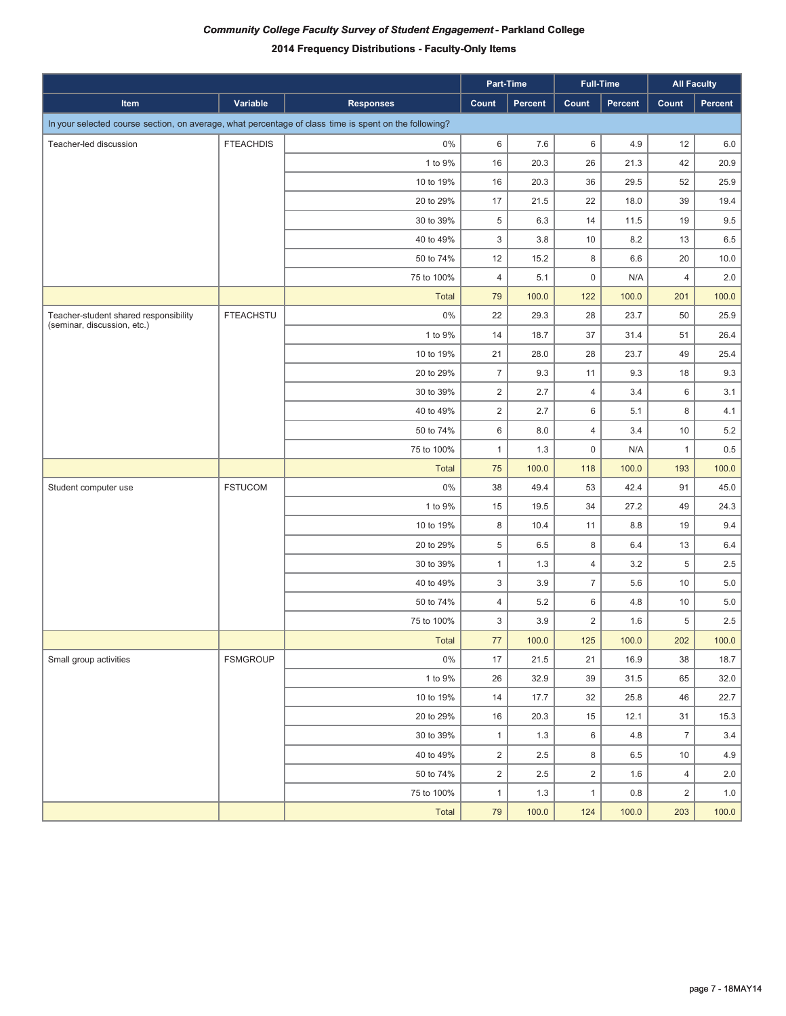|                                                                                                       |                  |                  |                         | Part-Time      |                | <b>Full-Time</b> | <b>All Faculty</b> |         |
|-------------------------------------------------------------------------------------------------------|------------------|------------------|-------------------------|----------------|----------------|------------------|--------------------|---------|
| Item                                                                                                  | Variable         | <b>Responses</b> | Count                   | <b>Percent</b> | Count          | Percent          | Count              | Percent |
| In your selected course section, on average, what percentage of class time is spent on the following? |                  |                  |                         |                |                |                  |                    |         |
| Teacher-led discussion                                                                                | <b>FTEACHDIS</b> | 0%               | 6                       | 7.6            | 6              | 4.9              | 12                 | 6.0     |
|                                                                                                       |                  | 1 to 9%          | 16                      | 20.3           | 26             | 21.3             | 42                 | 20.9    |
|                                                                                                       |                  | 10 to 19%        | 16                      | 20.3           | 36             | 29.5             | 52                 | 25.9    |
|                                                                                                       |                  | 20 to 29%        | 17                      | 21.5           | 22             | 18.0             | 39                 | 19.4    |
|                                                                                                       |                  | 30 to 39%        | 5                       | 6.3            | 14             | 11.5             | 19                 | 9.5     |
|                                                                                                       |                  | 40 to 49%        | 3                       | 3.8            | 10             | 8.2              | 13                 | 6.5     |
|                                                                                                       |                  | 50 to 74%        | 12                      | 15.2           | 8              | 6.6              | 20                 | 10.0    |
|                                                                                                       |                  | 75 to 100%       | $\overline{4}$          | 5.1            | $\mathsf 0$    | N/A              | $\overline{4}$     | 2.0     |
|                                                                                                       |                  | <b>Total</b>     | 79                      | 100.0          | 122            | 100.0            | 201                | 100.0   |
| Teacher-student shared responsibility<br>(seminar, discussion, etc.)                                  | <b>FTEACHSTU</b> | $0\%$            | 22                      | 29.3           | 28             | 23.7             | 50                 | 25.9    |
|                                                                                                       |                  | 1 to 9%          | 14                      | 18.7           | 37             | 31.4             | 51                 | 26.4    |
|                                                                                                       |                  | 10 to 19%        | 21                      | 28.0           | 28             | 23.7             | 49                 | 25.4    |
|                                                                                                       |                  | 20 to 29%        | $\overline{7}$          | 9.3            | 11             | 9.3              | 18                 | 9.3     |
|                                                                                                       |                  | 30 to 39%        | $\overline{2}$          | 2.7            | $\overline{4}$ | 3.4              | 6                  | 3.1     |
|                                                                                                       |                  | 40 to 49%        | $\overline{2}$          | 2.7            | 6              | 5.1              | 8                  | 4.1     |
|                                                                                                       |                  | 50 to 74%        | 6                       | 8.0            | $\overline{4}$ | 3.4              | 10                 | $5.2\,$ |
|                                                                                                       |                  | 75 to 100%       | $\mathbf{1}$            | 1.3            | $\mathsf 0$    | N/A              | $\mathbf{1}$       | 0.5     |
|                                                                                                       |                  | Total            | 75                      | 100.0          | 118            | 100.0            | 193                | 100.0   |
| Student computer use                                                                                  | <b>FSTUCOM</b>   | 0%               | 38                      | 49.4           | 53             | 42.4             | 91                 | 45.0    |
|                                                                                                       |                  | 1 to 9%          | 15                      | 19.5           | 34             | 27.2             | 49                 | 24.3    |
|                                                                                                       |                  | 10 to 19%        | 8                       | 10.4           | 11             | 8.8              | 19                 | 9.4     |
|                                                                                                       |                  | 20 to 29%        | 5                       | 6.5            | 8              | 6.4              | 13                 | 6.4     |
|                                                                                                       |                  | 30 to 39%        | $\mathbf{1}$            | 1.3            | $\overline{4}$ | 3.2              | 5                  | 2.5     |
|                                                                                                       |                  | 40 to 49%        | 3                       | 3.9            | $\overline{7}$ | 5.6              | 10                 | 5.0     |
|                                                                                                       |                  | 50 to 74%        | $\overline{4}$          | 5.2            | 6              | 4.8              | 10                 | 5.0     |
|                                                                                                       |                  | 75 to 100%       | 3                       | 3.9            | $\overline{2}$ | 1.6              | 5                  | 2.5     |
|                                                                                                       |                  | <b>Total</b>     | 77                      | 100.0          | 125            | 100.0            | 202                | 100.0   |
| Small group activities                                                                                | <b>FSMGROUP</b>  | $0\%$            | 17                      | 21.5           | 21             | 16.9             | 38                 | 18.7    |
|                                                                                                       |                  | 1 to 9%          | 26                      | 32.9           | 39             | 31.5             | 65                 | 32.0    |
|                                                                                                       |                  | 10 to 19%        | 14                      | 17.7           | 32             | 25.8             | 46                 | 22.7    |
|                                                                                                       |                  | 20 to 29%        | 16                      | 20.3           | 15             | 12.1             | 31                 | 15.3    |
|                                                                                                       |                  | 30 to 39%        | $\mathbf{1}$            | 1.3            | 6              | 4.8              | $\overline{7}$     | 3.4     |
|                                                                                                       |                  | 40 to 49%        | $\overline{2}$          | 2.5            | 8              | 6.5              | 10                 | 4.9     |
|                                                                                                       |                  | 50 to 74%        | $\overline{\mathbf{c}}$ | 2.5            | $\mathbf 2$    | 1.6              | $\overline{4}$     | 2.0     |
|                                                                                                       |                  | 75 to 100%       | $\mathbf{1}$            | 1.3            | $\mathbf{1}$   | $0.8\,$          | $\overline{2}$     | $1.0$   |
|                                                                                                       |                  | Total            | $\bf 79$                | 100.0          | 124            | 100.0            | 203                | 100.0   |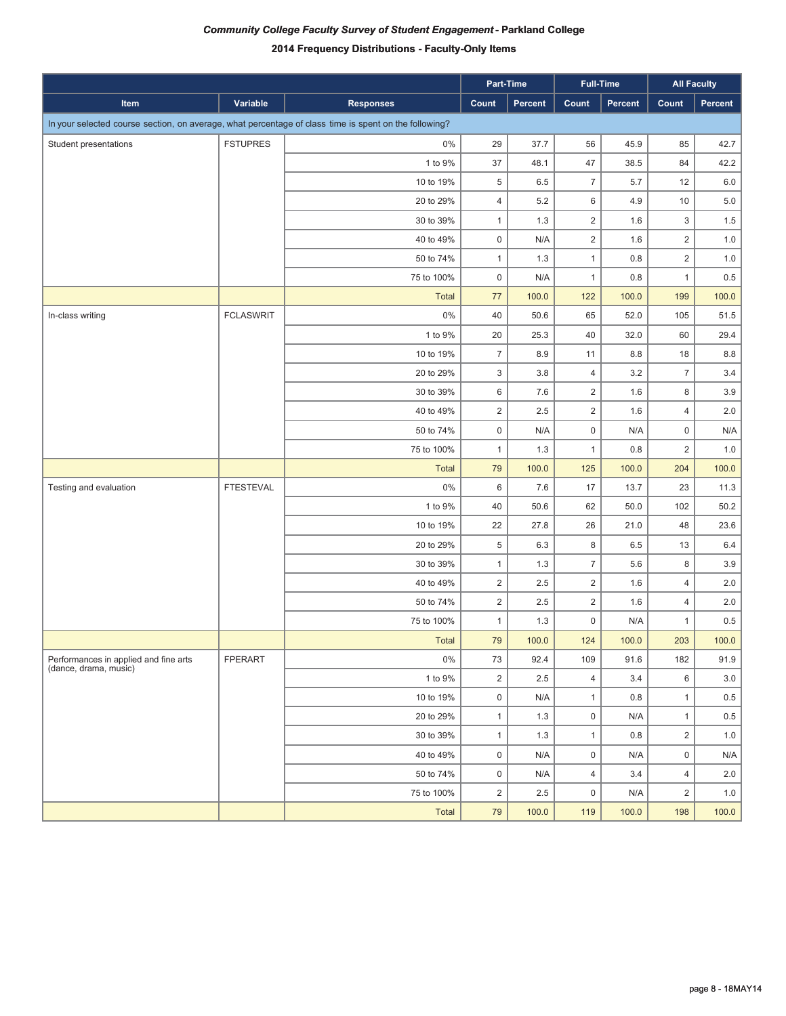|                                                                                                       |                  |                  | Part-Time           |         |                     | <b>Full-Time</b> | <b>All Faculty</b> |         |
|-------------------------------------------------------------------------------------------------------|------------------|------------------|---------------------|---------|---------------------|------------------|--------------------|---------|
| Item                                                                                                  | Variable         | <b>Responses</b> | Count               | Percent | Count               | Percent          | Count              | Percent |
| In your selected course section, on average, what percentage of class time is spent on the following? |                  |                  |                     |         |                     |                  |                    |         |
| Student presentations                                                                                 | <b>FSTUPRES</b>  | 0%               | 29                  | 37.7    | 56                  | 45.9             | 85                 | 42.7    |
|                                                                                                       |                  | 1 to 9%          | 37                  | 48.1    | 47                  | 38.5             | 84                 | 42.2    |
|                                                                                                       |                  | 10 to 19%        | 5                   | 6.5     | $\overline{7}$      | 5.7              | 12                 | $6.0\,$ |
|                                                                                                       |                  | 20 to 29%        | $\overline{4}$      | 5.2     | 6                   | 4.9              | 10                 | $5.0\,$ |
|                                                                                                       |                  | 30 to 39%        | $\mathbf{1}$        | 1.3     | $\overline{2}$      | 1.6              | 3                  | $1.5\,$ |
|                                                                                                       |                  | 40 to 49%        | $\mathbf 0$         | N/A     | $\overline{2}$      | 1.6              | $\overline{2}$     | $1.0$   |
|                                                                                                       |                  | 50 to 74%        | $\mathbf{1}$        | 1.3     | $\mathbf{1}$        | $0.8\,$          | $\overline{2}$     | $1.0\,$ |
|                                                                                                       |                  | 75 to 100%       | $\mathbf 0$         | N/A     | $\mathbf{1}$        | 0.8              | $\mathbf{1}$       | 0.5     |
|                                                                                                       |                  | Total            | 77                  | 100.0   | 122                 | 100.0            | 199                | 100.0   |
| In-class writing                                                                                      | <b>FCLASWRIT</b> | $0\%$            | 40                  | 50.6    | 65                  | 52.0             | 105                | 51.5    |
|                                                                                                       |                  | 1 to 9%          | 20                  | 25.3    | 40                  | 32.0             | 60                 | 29.4    |
|                                                                                                       |                  | 10 to 19%        | $\overline{7}$      | 8.9     | 11                  | 8.8              | 18                 | 8.8     |
|                                                                                                       |                  | 20 to 29%        | $\mathfrak{S}$      | 3.8     | $\overline{4}$      | 3.2              | $\overline{7}$     | 3.4     |
|                                                                                                       |                  | 30 to 39%        | 6                   | 7.6     | $\overline{2}$      | 1.6              | 8                  | 3.9     |
|                                                                                                       |                  | 40 to 49%        | $\overline{2}$      | 2.5     | $\overline{2}$      | 1.6              | $\overline{4}$     | 2.0     |
|                                                                                                       |                  | 50 to 74%        | $\mathsf 0$         | N/A     | $\mathsf{O}\xspace$ | N/A              | $\mathsf 0$        | N/A     |
|                                                                                                       |                  | 75 to 100%       | $\mathbf{1}$        | 1.3     | $\mathbf{1}$        | 0.8              | $\overline{2}$     | 1.0     |
|                                                                                                       |                  | Total            | 79                  | 100.0   | 125                 | 100.0            | 204                | 100.0   |
| Testing and evaluation                                                                                | <b>FTESTEVAL</b> | $0\%$            | 6                   | 7.6     | 17                  | 13.7             | 23                 | 11.3    |
|                                                                                                       |                  | 1 to 9%          | 40                  | 50.6    | 62                  | 50.0             | 102                | 50.2    |
|                                                                                                       |                  | 10 to 19%        | 22                  | 27.8    | 26                  | 21.0             | 48                 | 23.6    |
|                                                                                                       |                  | 20 to 29%        | 5                   | 6.3     | 8                   | 6.5              | 13                 | 6.4     |
|                                                                                                       |                  | 30 to 39%        | $\mathbf{1}$        | 1.3     | $\overline{7}$      | 5.6              | 8                  | 3.9     |
|                                                                                                       |                  | 40 to 49%        | $\overline{2}$      | 2.5     | $\overline{c}$      | 1.6              | $\overline{4}$     | 2.0     |
|                                                                                                       |                  | 50 to 74%        | $\overline{2}$      | 2.5     | $\overline{2}$      | 1.6              | $\overline{4}$     | 2.0     |
|                                                                                                       |                  | 75 to 100%       | $\mathbf{1}$        | 1.3     | $\mathsf 0$         | N/A              | $\mathbf{1}$       | 0.5     |
|                                                                                                       |                  | Total            | 79                  | 100.0   | 124                 | 100.0            | 203                | 100.0   |
| Performances in applied and fine arts<br>(dance, drama, music)                                        | FPERART          | 0%               | 73                  | 92.4    | 109                 | 91.6             | 182                | 91.9    |
|                                                                                                       |                  | 1 to 9%          | $\overline{2}$      | 2.5     | $\overline{4}$      | 3.4              | 6                  | 3.0     |
|                                                                                                       |                  | 10 to 19%        | $\mathbf 0$         | N/A     | $\mathbf{1}$        | 0.8              | $\mathbf{1}$       | 0.5     |
|                                                                                                       |                  | 20 to 29%        | $\mathbf{1}$        | 1.3     | $\mathbf 0$         | N/A              | $\mathbf{1}$       | 0.5     |
|                                                                                                       |                  | 30 to 39%        | $\mathbf{1}$        | 1.3     | $\mathbf{1}$        | 0.8              | $\overline{2}$     | 1.0     |
|                                                                                                       |                  | 40 to 49%        | $\mathbf 0$         | N/A     | $\mathbf 0$         | N/A              | $\mathsf 0$        | N/A     |
|                                                                                                       |                  | 50 to 74%        | $\mathsf{O}\xspace$ | N/A     | $\overline{4}$      | 3.4              | $\overline{4}$     | 2.0     |
|                                                                                                       |                  | 75 to 100%       | $\overline{2}$      | 2.5     | $\mathsf 0$         | N/A              | $\overline{2}$     | 1.0     |
|                                                                                                       |                  | Total            | 79                  | 100.0   | 119                 | 100.0            | 198                | 100.0   |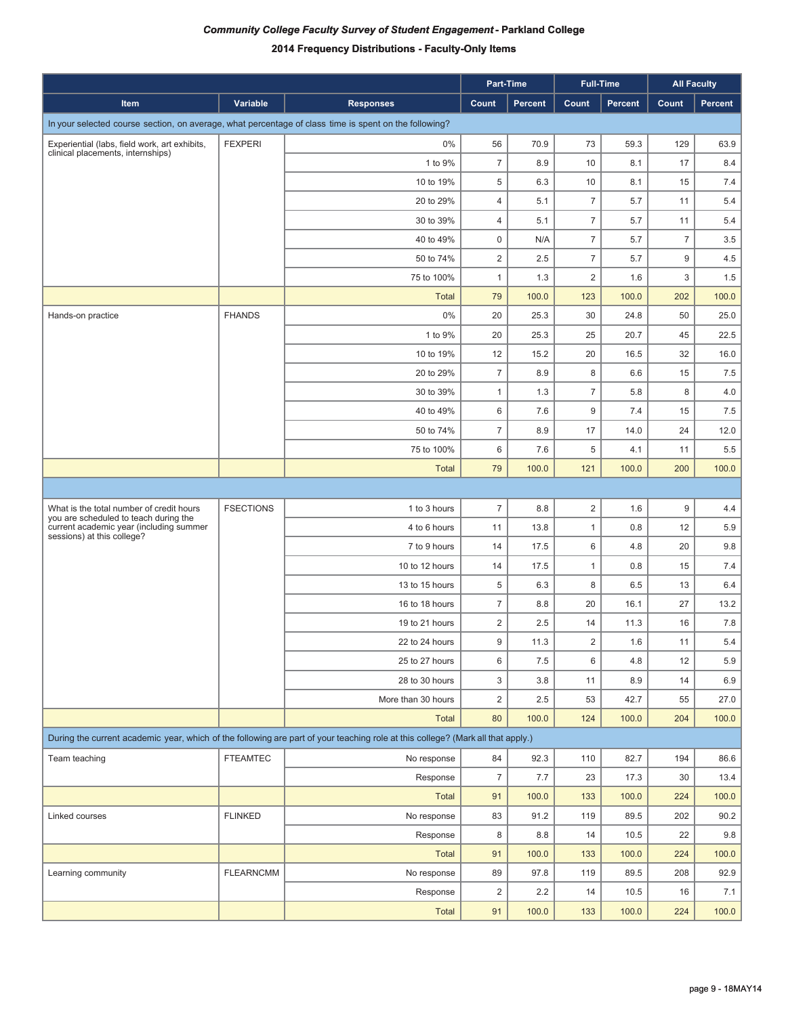|                                                                                                       |                  |                                                                                                                                 |                | Part-Time |                | <b>Full-Time</b> |                | <b>All Faculty</b> |  |  |  |
|-------------------------------------------------------------------------------------------------------|------------------|---------------------------------------------------------------------------------------------------------------------------------|----------------|-----------|----------------|------------------|----------------|--------------------|--|--|--|
| Item                                                                                                  | Variable         | <b>Responses</b>                                                                                                                | Count          | Percent   | Count          | Percent          | Count          | Percent            |  |  |  |
| In your selected course section, on average, what percentage of class time is spent on the following? |                  |                                                                                                                                 |                |           |                |                  |                |                    |  |  |  |
| Experiential (labs, field work, art exhibits,                                                         | <b>FEXPERI</b>   | 0%                                                                                                                              | 56             | 70.9      | 73             | 59.3             | 129            | 63.9               |  |  |  |
| clinical placements, internships)                                                                     |                  | 1 to 9%                                                                                                                         | $\overline{7}$ | 8.9       | 10             | 8.1              | 17             | 8.4                |  |  |  |
|                                                                                                       |                  | 10 to 19%                                                                                                                       | 5              | 6.3       | 10             | 8.1              | 15             | 7.4                |  |  |  |
|                                                                                                       |                  | 20 to 29%                                                                                                                       | 4              | 5.1       | $\overline{7}$ | 5.7              | 11             | 5.4                |  |  |  |
|                                                                                                       |                  | 30 to 39%                                                                                                                       | 4              | 5.1       | $\overline{7}$ | 5.7              | 11             | 5.4                |  |  |  |
|                                                                                                       |                  | 40 to 49%                                                                                                                       | 0              | N/A       | $\overline{7}$ | 5.7              | $\overline{7}$ | 3.5                |  |  |  |
|                                                                                                       |                  | 50 to 74%                                                                                                                       | $\overline{2}$ | 2.5       | $\overline{7}$ | 5.7              | 9              | 4.5                |  |  |  |
|                                                                                                       |                  | 75 to 100%                                                                                                                      | $\mathbf{1}$   | 1.3       | $\overline{2}$ | 1.6              | 3              | 1.5                |  |  |  |
|                                                                                                       |                  | <b>Total</b>                                                                                                                    | 79             | 100.0     | 123            | 100.0            | 202            | 100.0              |  |  |  |
| Hands-on practice                                                                                     | <b>FHANDS</b>    | 0%                                                                                                                              | 20             | 25.3      | 30             | 24.8             | 50             | 25.0               |  |  |  |
|                                                                                                       |                  | 1 to 9%                                                                                                                         | 20             | 25.3      | 25             | 20.7             | 45             | 22.5               |  |  |  |
|                                                                                                       |                  | 10 to 19%                                                                                                                       | 12             | 15.2      | 20             | 16.5             | 32             | 16.0               |  |  |  |
|                                                                                                       |                  | 20 to 29%                                                                                                                       | $\overline{7}$ | 8.9       | 8              | 6.6              | 15             | 7.5                |  |  |  |
|                                                                                                       |                  | 30 to 39%                                                                                                                       | $\mathbf{1}$   | 1.3       | $\overline{7}$ | 5.8              | 8              | 4.0                |  |  |  |
|                                                                                                       |                  | 40 to 49%                                                                                                                       | 6              | 7.6       | 9              | 7.4              | 15             | 7.5                |  |  |  |
|                                                                                                       |                  | 50 to 74%                                                                                                                       | $\overline{7}$ | 8.9       | 17             | 14.0             | 24             | 12.0               |  |  |  |
|                                                                                                       |                  | 75 to 100%                                                                                                                      | 6              | 7.6       | 5              | 4.1              | 11             | 5.5                |  |  |  |
|                                                                                                       |                  | <b>Total</b>                                                                                                                    | 79             | 100.0     | 121            | 100.0            | 200            | 100.0              |  |  |  |
|                                                                                                       |                  |                                                                                                                                 |                |           |                |                  |                |                    |  |  |  |
| What is the total number of credit hours<br>you are scheduled to teach during the                     | <b>FSECTIONS</b> | 1 to 3 hours                                                                                                                    | $\overline{7}$ | 8.8       | $\overline{2}$ | 1.6              | 9              | 4.4                |  |  |  |
| current academic year (including summer<br>sessions) at this college?                                 |                  | 4 to 6 hours                                                                                                                    | 11             | 13.8      | $\mathbf{1}$   | 0.8              | 12             | 5.9                |  |  |  |
|                                                                                                       |                  | 7 to 9 hours                                                                                                                    | 14             | 17.5      | 6              | 4.8              | 20             | 9.8                |  |  |  |
|                                                                                                       |                  | 10 to 12 hours                                                                                                                  | 14             | 17.5      | 1              | 0.8              | 15             | 7.4                |  |  |  |
|                                                                                                       |                  | 13 to 15 hours                                                                                                                  | 5              | 6.3       | 8              | 6.5              | 13             | 6.4                |  |  |  |
|                                                                                                       |                  | 16 to 18 hours                                                                                                                  | $\overline{7}$ | 8.8       | 20             | 16.1             | 27             | 13.2               |  |  |  |
|                                                                                                       |                  | 19 to 21 hours                                                                                                                  | $\overline{2}$ | 2.5       | 14             | 11.3             | 16             | 7.8                |  |  |  |
|                                                                                                       |                  | 22 to 24 hours                                                                                                                  | 9              | 11.3      | $\overline{2}$ | 1.6              | 11             | 5.4                |  |  |  |
|                                                                                                       |                  | 25 to 27 hours                                                                                                                  | 6              | 7.5       | 6              | 4.8              | 12             | 5.9                |  |  |  |
|                                                                                                       |                  | 28 to 30 hours                                                                                                                  | 3              | 3.8       | 11             | 8.9              | 14             | 6.9                |  |  |  |
|                                                                                                       |                  | More than 30 hours                                                                                                              | $\overline{2}$ | 2.5       | 53             | 42.7             | 55             | 27.0               |  |  |  |
|                                                                                                       |                  | <b>Total</b>                                                                                                                    | 80             | 100.0     | 124            | 100.0            | 204            | 100.0              |  |  |  |
|                                                                                                       |                  | During the current academic year, which of the following are part of your teaching role at this college? (Mark all that apply.) |                |           |                |                  |                |                    |  |  |  |
| Team teaching                                                                                         | <b>FTEAMTEC</b>  | No response                                                                                                                     | 84             | 92.3      | 110            | 82.7             | 194            | 86.6               |  |  |  |
|                                                                                                       |                  | Response                                                                                                                        | $\overline{7}$ | 7.7       | 23             | 17.3             | 30             | 13.4               |  |  |  |
|                                                                                                       |                  | <b>Total</b>                                                                                                                    | 91             | 100.0     | 133            | 100.0            | 224            | 100.0              |  |  |  |
| Linked courses                                                                                        | <b>FLINKED</b>   | No response                                                                                                                     | 83             | 91.2      | 119            | 89.5             | 202            | 90.2               |  |  |  |
|                                                                                                       |                  | Response                                                                                                                        | 8              | 8.8       | 14             | 10.5             | 22             | 9.8                |  |  |  |
|                                                                                                       |                  | <b>Total</b>                                                                                                                    | 91             | 100.0     | 133            | 100.0            | 224            | 100.0              |  |  |  |
| Learning community                                                                                    | <b>FLEARNCMM</b> | No response                                                                                                                     | 89             | 97.8      | 119            | 89.5             | 208            | 92.9               |  |  |  |
|                                                                                                       |                  | Response                                                                                                                        | $\overline{2}$ | 2.2       | 14             | 10.5             | 16             | 7.1                |  |  |  |
|                                                                                                       |                  | Total                                                                                                                           | 91             | 100.0     | 133            | 100.0            | 224            | 100.0              |  |  |  |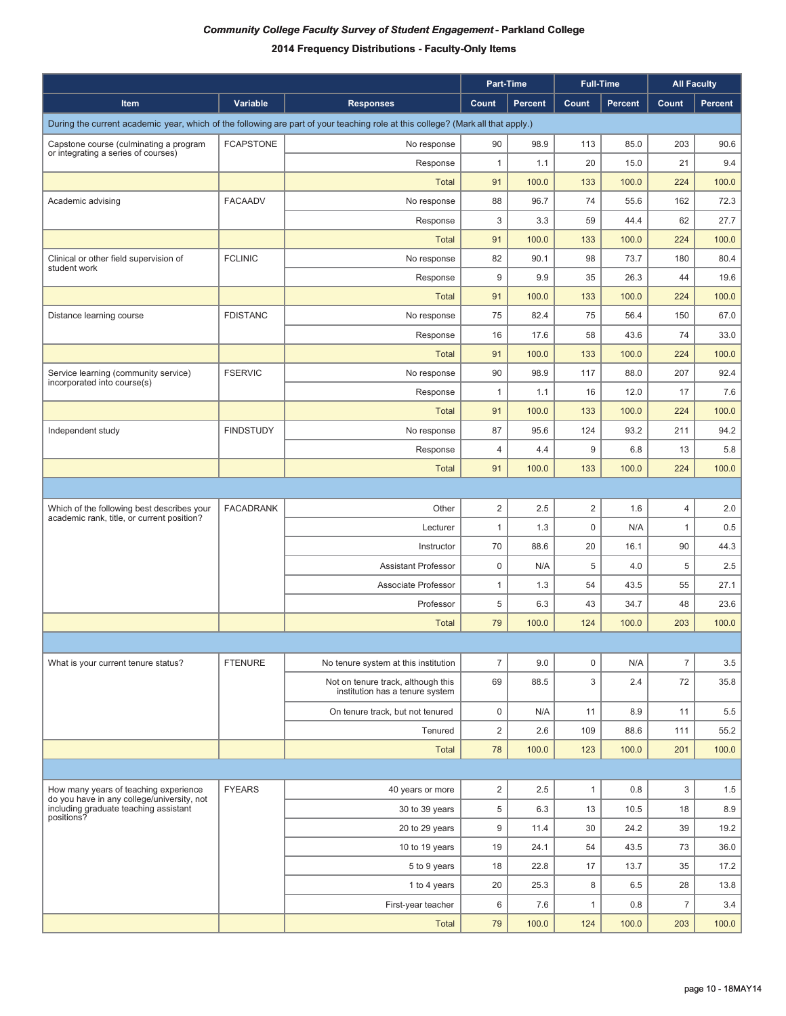|                                                                                     |                  |                                                                                                                                 |                | Part-Time      |                | <b>Full-Time</b> |                | <b>All Faculty</b> |
|-------------------------------------------------------------------------------------|------------------|---------------------------------------------------------------------------------------------------------------------------------|----------------|----------------|----------------|------------------|----------------|--------------------|
| Item                                                                                | Variable         | <b>Responses</b>                                                                                                                | Count          | <b>Percent</b> | Count          | <b>Percent</b>   | Count          | Percent            |
|                                                                                     |                  | During the current academic year, which of the following are part of your teaching role at this college? (Mark all that apply.) |                |                |                |                  |                |                    |
| Capstone course (culminating a program                                              | <b>FCAPSTONE</b> | No response                                                                                                                     | 90             | 98.9           | 113            | 85.0             | 203            | 90.6               |
| or integrating a series of courses)                                                 |                  | Response                                                                                                                        | $\mathbf{1}$   | 1.1            | 20             | 15.0             | 21             | 9.4                |
|                                                                                     |                  | <b>Total</b>                                                                                                                    | 91             | 100.0          | 133            | 100.0            | 224            | 100.0              |
| Academic advising                                                                   | <b>FACAADV</b>   | No response                                                                                                                     | 88             | 96.7           | 74             | 55.6             | 162            | 72.3               |
|                                                                                     |                  | Response                                                                                                                        | 3              | 3.3            | 59             | 44.4             | 62             | 27.7               |
|                                                                                     |                  | <b>Total</b>                                                                                                                    | 91             | 100.0          | 133            | 100.0            | 224            | 100.0              |
| Clinical or other field supervision of                                              | <b>FCLINIC</b>   | No response                                                                                                                     | 82             | 90.1           | 98             | 73.7             | 180            | 80.4               |
| student work                                                                        |                  | Response                                                                                                                        | 9              | 9.9            | 35             | 26.3             | 44             | 19.6               |
|                                                                                     |                  | <b>Total</b>                                                                                                                    | 91             | 100.0          | 133            | 100.0            | 224            | 100.0              |
| Distance learning course                                                            | <b>FDISTANC</b>  | No response                                                                                                                     | 75             | 82.4           | 75             | 56.4             | 150            | 67.0               |
|                                                                                     |                  | Response                                                                                                                        | 16             | 17.6           | 58             | 43.6             | 74             | 33.0               |
|                                                                                     |                  | <b>Total</b>                                                                                                                    | 91             | 100.0          | 133            | 100.0            | 224            | 100.0              |
| Service learning (community service)                                                | <b>FSERVIC</b>   | No response                                                                                                                     | 90             | 98.9           | 117            | 88.0             | 207            | 92.4               |
| incorporated into course(s)                                                         |                  | Response                                                                                                                        | 1              | 1.1            | 16             | 12.0             | 17             | 7.6                |
|                                                                                     |                  | <b>Total</b>                                                                                                                    | 91             | 100.0          | 133            | 100.0            | 224            | 100.0              |
| Independent study                                                                   | <b>FINDSTUDY</b> | No response                                                                                                                     | 87             | 95.6           | 124            | 93.2             | 211            | 94.2               |
|                                                                                     |                  | Response                                                                                                                        | 4              | 4.4            | 9              | 6.8              | 13             | 5.8                |
|                                                                                     |                  | <b>Total</b>                                                                                                                    | 91             | 100.0          | 133            | 100.0            | 224            | 100.0              |
|                                                                                     |                  |                                                                                                                                 |                |                |                |                  |                |                    |
| Which of the following best describes your                                          | <b>FACADRANK</b> | Other                                                                                                                           | $\overline{2}$ | 2.5            | $\overline{c}$ | 1.6              | $\overline{4}$ | 2.0                |
| academic rank, title, or current position?                                          |                  | Lecturer                                                                                                                        | $\mathbf{1}$   | 1.3            | $\pmb{0}$      | N/A              | 1              | 0.5                |
|                                                                                     |                  | Instructor                                                                                                                      | 70             | 88.6           | 20             | 16.1             | 90             | 44.3               |
|                                                                                     |                  | <b>Assistant Professor</b>                                                                                                      | $\mathbf 0$    | N/A            | 5              | 4.0              | 5              | 2.5                |
|                                                                                     |                  | Associate Professor                                                                                                             | $\mathbf{1}$   | 1.3            | 54             | 43.5             | 55             | 27.1               |
|                                                                                     |                  | Professor                                                                                                                       | 5              | 6.3            | 43             | 34.7             | 48             | 23.6               |
|                                                                                     |                  | <b>Total</b>                                                                                                                    | 79             | 100.0          | 124            | 100.0            | 203            | 100.0              |
|                                                                                     |                  |                                                                                                                                 |                |                |                |                  |                |                    |
| What is your current tenure status?                                                 | <b>FTENURE</b>   | No tenure system at this institution                                                                                            | $\overline{7}$ | 9.0            | $\pmb{0}$      | N/A              | $\overline{7}$ | 3.5                |
|                                                                                     |                  | Not on tenure track, although this<br>institution has a tenure system                                                           | 69             | 88.5           | 3              | 2.4              | 72             | 35.8               |
|                                                                                     |                  | On tenure track, but not tenured                                                                                                | 0              | N/A            | 11             | 8.9              | 11             | 5.5                |
|                                                                                     |                  | Tenured                                                                                                                         | $\overline{2}$ | 2.6            | 109            | 88.6             | 111            | 55.2               |
|                                                                                     |                  | <b>Total</b>                                                                                                                    | 78             | 100.0          | 123            | 100.0            | 201            | 100.0              |
|                                                                                     |                  |                                                                                                                                 |                |                |                |                  |                |                    |
| How many years of teaching experience                                               | <b>FYEARS</b>    | 40 years or more                                                                                                                | $\overline{2}$ | 2.5            | $\mathbf{1}$   | 0.8              | 3              | 1.5                |
| do you have in any college/university, not<br>including graduate teaching assistant |                  | 30 to 39 years                                                                                                                  | 5              | 6.3            | 13             | 10.5             | 18             | 8.9                |
| positions?                                                                          |                  | 20 to 29 years                                                                                                                  | 9              | 11.4           | 30             | 24.2             | 39             | 19.2               |
|                                                                                     |                  | 10 to 19 years                                                                                                                  | 19             | 24.1           | 54             | 43.5             | 73             | 36.0               |
|                                                                                     |                  | 5 to 9 years                                                                                                                    | 18             | 22.8           | 17             | 13.7             | 35             | 17.2               |
|                                                                                     |                  | 1 to 4 years                                                                                                                    | 20             | 25.3           | 8              | 6.5              | 28             | 13.8               |
|                                                                                     |                  | First-year teacher                                                                                                              | 6              | 7.6            | 1              | 0.8              | $\overline{7}$ | 3.4                |
|                                                                                     |                  | <b>Total</b>                                                                                                                    | 79             | 100.0          | 124            | 100.0            | 203            | 100.0              |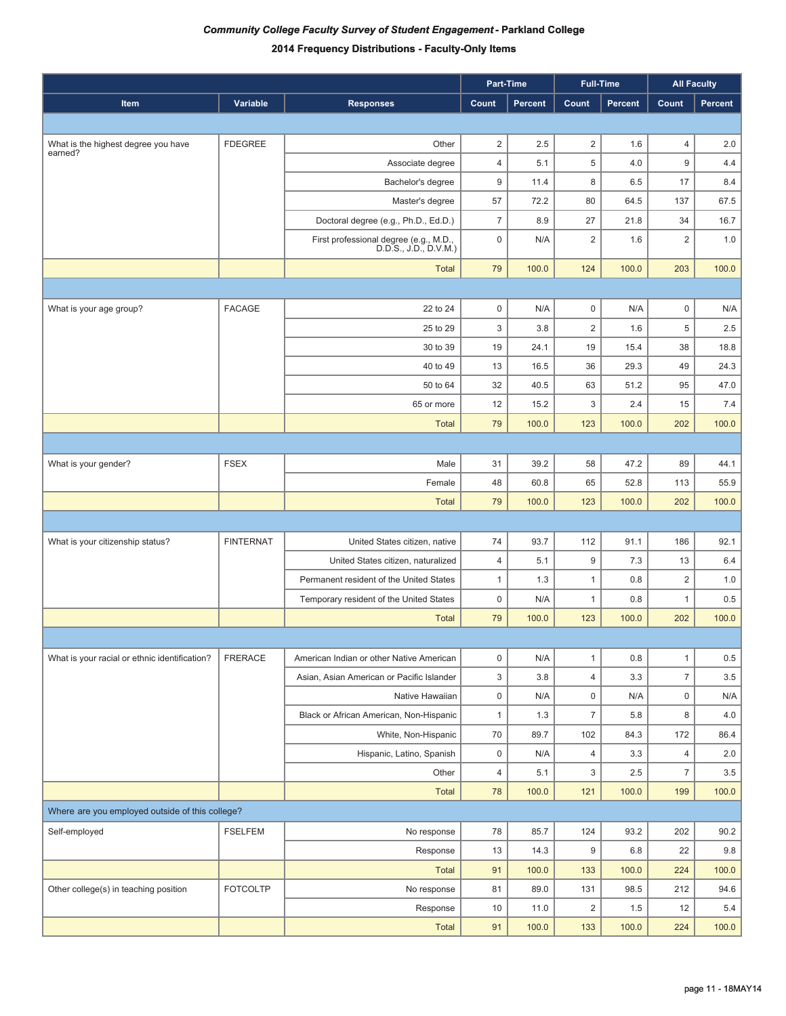|                                                 |                  |                                                                 | Part-Time      |                |                         | <b>Full-Time</b> |                         | <b>All Faculty</b> |
|-------------------------------------------------|------------------|-----------------------------------------------------------------|----------------|----------------|-------------------------|------------------|-------------------------|--------------------|
| <b>Item</b>                                     | Variable         | <b>Responses</b>                                                | Count          | <b>Percent</b> | Count                   | Percent          | Count                   | Percent            |
|                                                 |                  |                                                                 |                |                |                         |                  |                         |                    |
| What is the highest degree you have             | <b>FDEGREE</b>   | Other                                                           | $\overline{2}$ | 2.5            | $\overline{2}$          | 1.6              | 4                       | 2.0                |
| earned?                                         |                  | Associate degree                                                | $\overline{4}$ | 5.1            | 5                       | 4.0              | 9                       | 4.4                |
|                                                 |                  | Bachelor's degree                                               | $9\,$          | 11.4           | 8                       | 6.5              | 17                      | 8.4                |
|                                                 |                  | Master's degree                                                 | 57             | 72.2           | 80                      | 64.5             | 137                     | 67.5               |
|                                                 |                  | Doctoral degree (e.g., Ph.D., Ed.D.)                            | $\overline{7}$ | 8.9            | 27                      | 21.8             | 34                      | 16.7               |
|                                                 |                  | First professional degree (e.g., M.D.,<br>D.D.S., J.D., D.V.M.) | $\pmb{0}$      | N/A            | $\overline{c}$          | 1.6              | $\overline{\mathbf{c}}$ | 1.0                |
|                                                 |                  | <b>Total</b>                                                    | 79             | 100.0          | 124                     | 100.0            | 203                     | 100.0              |
|                                                 |                  |                                                                 |                |                |                         |                  |                         |                    |
| What is your age group?                         | <b>FACAGE</b>    | 22 to 24                                                        | $\mathbf 0$    | N/A            | $\pmb{0}$               | N/A              | $\mathsf 0$             | N/A                |
|                                                 |                  | 25 to 29                                                        | 3              | 3.8            | $\overline{2}$          | 1.6              | 5                       | 2.5                |
|                                                 |                  | 30 to 39                                                        | 19             | 24.1           | 19                      | 15.4             | 38                      | 18.8               |
|                                                 |                  | 40 to 49                                                        | 13             | 16.5           | 36                      | 29.3             | 49                      | 24.3               |
|                                                 |                  | 50 to 64                                                        | 32             | 40.5           | 63                      | 51.2             | 95                      | 47.0               |
|                                                 |                  | 65 or more                                                      | 12             | 15.2           | 3                       | 2.4              | 15                      | 7.4                |
|                                                 |                  | <b>Total</b>                                                    | 79             | 100.0          | 123                     | 100.0            | 202                     | 100.0              |
|                                                 |                  |                                                                 |                |                |                         |                  |                         |                    |
| What is your gender?                            | <b>FSEX</b>      | Male                                                            | 31             | 39.2           | 58                      | 47.2             | 89                      | 44.1               |
|                                                 |                  | Female                                                          | 48             | 60.8           | 65                      | 52.8             | 113                     | 55.9               |
|                                                 |                  | <b>Total</b>                                                    | 79             | 100.0          | 123                     | 100.0            | 202                     | 100.0              |
|                                                 |                  |                                                                 |                |                |                         |                  |                         |                    |
| What is your citizenship status?                | <b>FINTERNAT</b> | United States citizen, native                                   | 74             | 93.7           | 112                     | 91.1             | 186                     | 92.1               |
|                                                 |                  | United States citizen, naturalized                              | $\overline{4}$ | 5.1            | $\boldsymbol{9}$        | 7.3              | 13                      | 6.4                |
|                                                 |                  | Permanent resident of the United States                         | 1              | 1.3            | 1                       | 0.8              | $\overline{2}$          | 1.0                |
|                                                 |                  | Temporary resident of the United States                         | $\mathbf 0$    | N/A            | 1                       | 0.8              | $\mathbf{1}$            | 0.5                |
|                                                 |                  | <b>Total</b>                                                    | 79             | 100.0          | 123                     | 100.0            | 202                     | 100.0              |
|                                                 |                  |                                                                 |                |                |                         |                  |                         |                    |
| What is your racial or ethnic identification?   | <b>FRERACE</b>   | American Indian or other Native American                        | $\mathsf 0$    | N/A            | $\mathbf{1}$            | 0.8              | $\mathbf{1}$            | 0.5                |
|                                                 |                  | Asian, Asian American or Pacific Islander                       | 3              | 3.8            | $\overline{4}$          | 3.3              | $\overline{7}$          | 3.5                |
|                                                 |                  | Native Hawaiian                                                 | $\mathsf 0$    | N/A            | $\pmb{0}$               | N/A              | 0                       | N/A                |
|                                                 |                  | Black or African American, Non-Hispanic                         | $\mathbf{1}$   | 1.3            | $\overline{7}$          | 5.8              | 8                       | 4.0                |
|                                                 |                  | White, Non-Hispanic                                             | 70             | 89.7           | 102                     | 84.3             | 172                     | 86.4               |
|                                                 |                  | Hispanic, Latino, Spanish                                       | $\pmb{0}$      | N/A            | $\overline{4}$          | 3.3              | 4                       | 2.0                |
|                                                 |                  | Other                                                           | $\overline{4}$ | 5.1            | 3                       | 2.5              | $\boldsymbol{7}$        | $3.5\,$            |
|                                                 |                  | <b>Total</b>                                                    | 78             | 100.0          | 121                     | 100.0            | 199                     | 100.0              |
| Where are you employed outside of this college? |                  |                                                                 |                |                |                         |                  |                         |                    |
| Self-employed                                   | <b>FSELFEM</b>   | No response                                                     | 78             | 85.7           | 124                     | 93.2             | 202                     | 90.2               |
|                                                 |                  | Response                                                        | 13             | 14.3           | $\boldsymbol{9}$        | 6.8              | 22                      | 9.8                |
|                                                 |                  | <b>Total</b>                                                    | 91             | 100.0          | 133                     | 100.0            | 224                     | 100.0              |
| Other college(s) in teaching position           | <b>FOTCOLTP</b>  | No response                                                     | 81             | 89.0           | 131                     | 98.5             | 212                     | 94.6               |
|                                                 |                  | Response                                                        | 10             | 11.0           | $\overline{\mathbf{c}}$ | 1.5              | 12                      | 5.4                |
|                                                 |                  | <b>Total</b>                                                    | 91             | 100.0          | 133                     | 100.0            | 224                     | 100.0              |